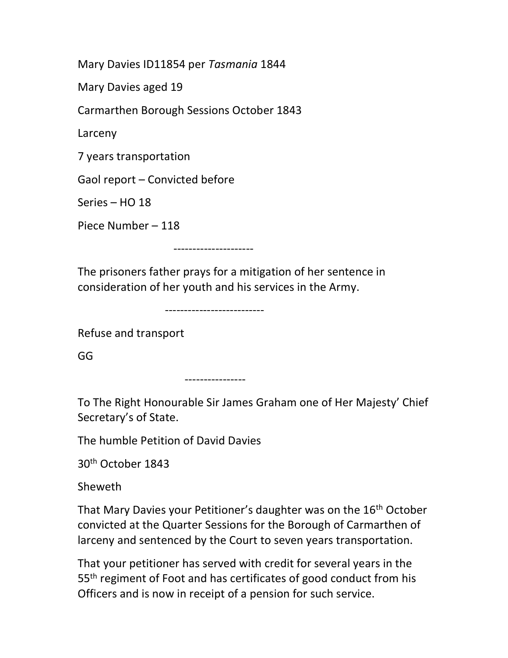Mary Davies ID11854 per Tasmania 1844

Mary Davies aged 19

Carmarthen Borough Sessions October 1843

Larceny

7 years transportation

Gaol report – Convicted before

Series – HO 18

Piece Number – 118

---------------------

The prisoners father prays for a mitigation of her sentence in consideration of her youth and his services in the Army.

--------------------------

Refuse and transport

GG

----------------

To The Right Honourable Sir James Graham one of Her Majesty' Chief Secretary's of State.

The humble Petition of David Davies

30th October 1843

Sheweth

That Mary Davies your Petitioner's daughter was on the 16<sup>th</sup> October convicted at the Quarter Sessions for the Borough of Carmarthen of larceny and sentenced by the Court to seven years transportation.

That your petitioner has served with credit for several years in the 55<sup>th</sup> regiment of Foot and has certificates of good conduct from his Officers and is now in receipt of a pension for such service.